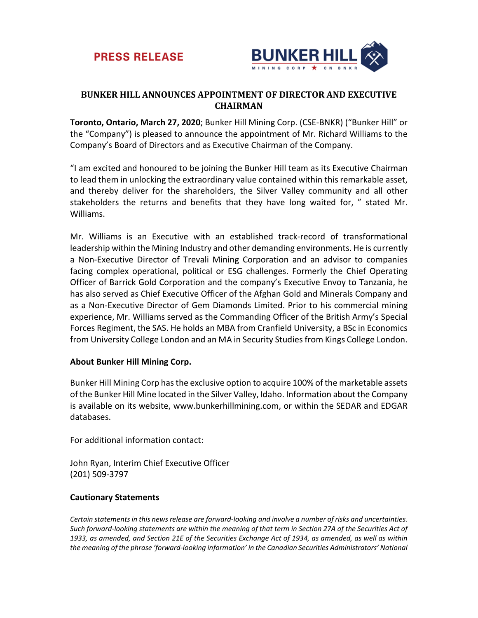



## **BUNKER HILL ANNOUNCES APPOINTMENT OF DIRECTOR AND EXECUTIVE CHAIRMAN**

**Toronto, Ontario, March 27, 2020**; Bunker Hill Mining Corp. (CSE-BNKR) ("Bunker Hill" or the "Company") is pleased to announce the appointment of Mr. Richard Williams to the Company's Board of Directors and as Executive Chairman of the Company.

"I am excited and honoured to be joining the Bunker Hill team as its Executive Chairman to lead them in unlocking the extraordinary value contained within this remarkable asset, and thereby deliver for the shareholders, the Silver Valley community and all other stakeholders the returns and benefits that they have long waited for, " stated Mr. Williams.

Mr. Williams is an Executive with an established track-record of transformational leadership within the Mining Industry and other demanding environments. He is currently a Non-Executive Director of Trevali Mining Corporation and an advisor to companies facing complex operational, political or ESG challenges. Formerly the Chief Operating Officer of Barrick Gold Corporation and the company's Executive Envoy to Tanzania, he has also served as Chief Executive Officer of the Afghan Gold and Minerals Company and as a Non-Executive Director of Gem Diamonds Limited. Prior to his commercial mining experience, Mr. Williams served as the Commanding Officer of the British Army's Special Forces Regiment, the SAS. He holds an MBA from Cranfield University, a BSc in Economics from University College London and an MA in Security Studies from Kings College London.

## **About Bunker Hill Mining Corp.**

Bunker Hill Mining Corp has the exclusive option to acquire 100% of the marketable assets of the Bunker Hill Mine located in the Silver Valley, Idaho. Information about the Company is available on its website, www.bunkerhillmining.com, or within the SEDAR and EDGAR databases.

For additional information contact:

John Ryan, Interim Chief Executive Officer (201) 509-3797

## **Cautionary Statements**

*Certain statements in this news release are forward-looking and involve a number of risks and uncertainties. Such forward-looking statements are within the meaning of that term in Section 27A of the Securities Act of 1933, as amended, and Section 21E of the Securities Exchange Act of 1934, as amended, as well as within the meaning of the phrase 'forward-looking information' in the Canadian Securities Administrators' National*